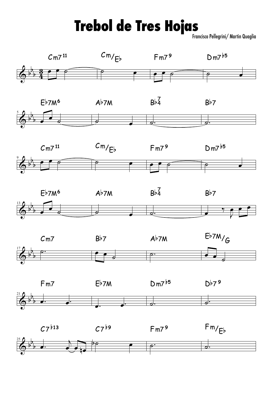## **Trebol de Tres Hojas**

Francisco Pellegrini/ Martin Quaglia